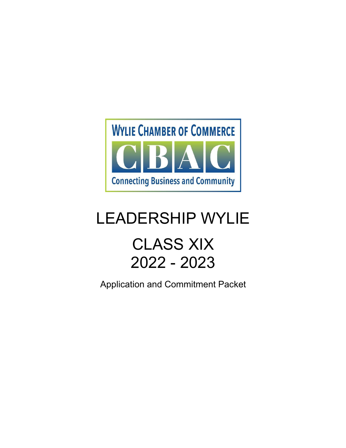

# LEADERSHIP WYLIE

# CLASS XIX 2022 - 2023

Application and Commitment Packet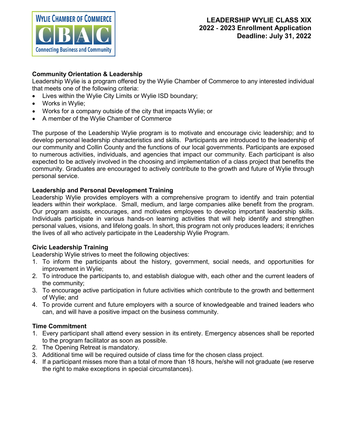

### **Community Orientation & Leadership**

Leadership Wylie is a program offered by the Wylie Chamber of Commerce to any interested individual that meets one of the following criteria:

- Lives within the Wylie City Limits or Wylie ISD boundary;
- Works in Wylie:
- Works for a company outside of the city that impacts Wylie; or
- A member of the Wylie Chamber of Commerce

The purpose of the Leadership Wylie program is to motivate and encourage civic leadership; and to develop personal leadership characteristics and skills. Participants are introduced to the leadership of our community and Collin County and the functions of our local governments. Participants are exposed to numerous activities, individuals, and agencies that impact our community. Each participant is also expected to be actively involved in the choosing and implementation of a class project that benefits the community. Graduates are encouraged to actively contribute to the growth and future of Wylie through personal service.

### **Leadership and Personal Development Training**

Leadership Wylie provides employers with a comprehensive program to identify and train potential leaders within their workplace. Small, medium, and large companies alike benefit from the program. Our program assists, encourages, and motivates employees to develop important leadership skills. Individuals participate in various hands-on learning activities that will help identify and strengthen personal values, visions, and lifelong goals. In short, this program not only produces leaders; it enriches the lives of all who actively participate in the Leadership Wylie Program.

### **Civic Leadership Training**

Leadership Wylie strives to meet the following objectives:

- 1. To inform the participants about the history, government, social needs, and opportunities for improvement in Wylie;
- 2. To introduce the participants to, and establish dialogue with, each other and the current leaders of the community;
- 3. To encourage active participation in future activities which contribute to the growth and betterment of Wylie; and
- 4. To provide current and future employers with a source of knowledgeable and trained leaders who can, and will have a positive impact on the business community.

### **Time Commitment**

- 1. Every participant shall attend every session in its entirety. Emergency absences shall be reported to the program facilitator as soon as possible.
- 2. The Opening Retreat is mandatory.
- 3. Additional time will be required outside of class time for the chosen class project.
- 4. If a participant misses more than a total of more than 18 hours, he/she will not graduate (we reserve the right to make exceptions in special circumstances).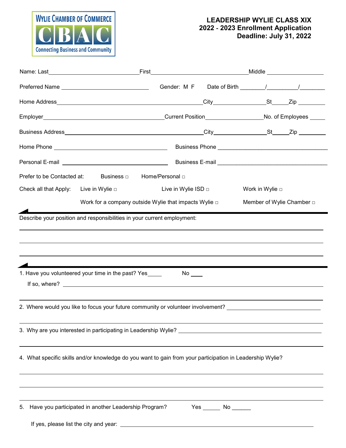

## **LEADERSHIP WYLIE CLASS XIX 2022** ‐ **2023 Enrollment Application Deadline: July 31, 2022**

|                                            | Prefer to be Contacted at: Business □ Home/Personal □                                                                                                                                                    |                                                            |  |                           |  |
|--------------------------------------------|----------------------------------------------------------------------------------------------------------------------------------------------------------------------------------------------------------|------------------------------------------------------------|--|---------------------------|--|
| Check all that Apply: Live in Wylie $\Box$ |                                                                                                                                                                                                          | Live in Wylie ISD $\Box$                                   |  | Work in Wylie $\Box$      |  |
|                                            |                                                                                                                                                                                                          | Work for a company outside Wylie that impacts Wylie $\Box$ |  | Member of Wylie Chamber □ |  |
|                                            | ,我们也不会有什么。""我们的人,我们也不会有什么?""我们的人,我们也不会有什么?""我们的人,我们也不会有什么?""我们的人,我们也不会有什么?""我们的人                                                                                                                         |                                                            |  |                           |  |
|                                            | 1. Have you volunteered your time in the past? Yes______                                                                                                                                                 | No $\rule{1em}{0.15mm}$                                    |  |                           |  |
|                                            | If so, where? $\_\_$                                                                                                                                                                                     |                                                            |  |                           |  |
|                                            | <u> 1989 - Andrea Santa Andrea Andrea Andrea Andrea Andrea Andrea Andrea Andrea Andrea Andrea Andrea Andrea Andr</u><br>2. Where would you like to focus your future community or volunteer involvement? |                                                            |  |                           |  |
|                                            | 3. Why are you interested in participating in Leadership Wylie?                                                                                                                                          |                                                            |  |                           |  |
|                                            | 4. What specific skills and/or knowledge do you want to gain from your participation in Leadership Wylie?                                                                                                |                                                            |  |                           |  |
|                                            |                                                                                                                                                                                                          |                                                            |  |                           |  |
| 5.                                         | Have you participated in another Leadership Program?                                                                                                                                                     |                                                            |  |                           |  |